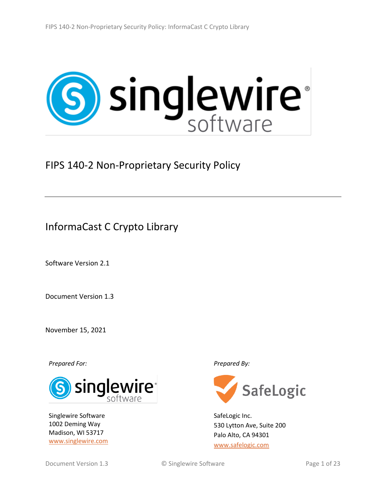# **S** singlewire®

FIPS 140-2 Non-Proprietary Security Policy

InformaCast C Crypto Library

Software Version 2.1

Document Version 1.3

November 15, 2021

*Prepared For: Prepared By:*



Singlewire Software 1002 Deming Way Madison, WI 53717 [www.singlewire.com](http://www.singlewire.com/)



SafeLogic Inc. 530 Lytton Ave, Suite 200 Palo Alto, CA 94301 [www.safelogic.com](http://www.safelogic.com/)

Document Version 1.3 **C** Singlewire Software **Page 1** of 23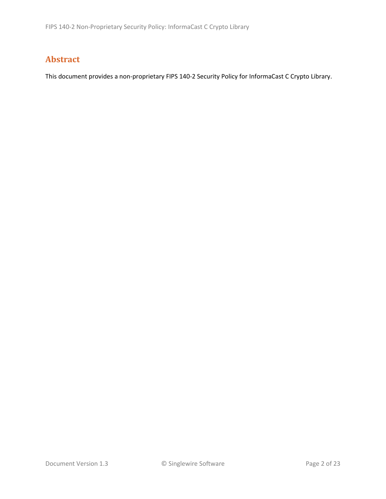# **Abstract**

This document provides a non-proprietary FIPS 140-2 Security Policy for InformaCast C Crypto Library.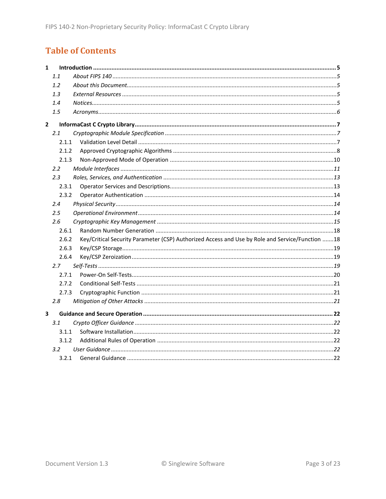# **Table of Contents**

| $\mathbf{1}$ |         |                                                                                                 |  |
|--------------|---------|-------------------------------------------------------------------------------------------------|--|
|              | 1.1     |                                                                                                 |  |
|              | 1.2     |                                                                                                 |  |
|              | 1.3     |                                                                                                 |  |
|              | 1.4     |                                                                                                 |  |
|              | 1.5     |                                                                                                 |  |
| $\mathbf{2}$ |         |                                                                                                 |  |
|              | 2.1     |                                                                                                 |  |
|              | 2.1.1   |                                                                                                 |  |
|              | 2.1.2   |                                                                                                 |  |
|              | 2.1.3   |                                                                                                 |  |
|              | 2.2     |                                                                                                 |  |
|              | 2.3     |                                                                                                 |  |
|              | 2.3.1   |                                                                                                 |  |
|              | 2.3.2   |                                                                                                 |  |
|              | 2.4     |                                                                                                 |  |
|              | $2.5\,$ |                                                                                                 |  |
|              | 2.6     |                                                                                                 |  |
|              | 2.6.1   |                                                                                                 |  |
|              | 2.6.2   | Key/Critical Security Parameter (CSP) Authorized Access and Use by Role and Service/Function 18 |  |
|              | 2.6.3   |                                                                                                 |  |
|              | 2.6.4   |                                                                                                 |  |
|              | 2.7     |                                                                                                 |  |
|              | 2.7.1   |                                                                                                 |  |
|              | 2.7.2   |                                                                                                 |  |
|              | 2.7.3   |                                                                                                 |  |
|              | 2.8     |                                                                                                 |  |
| 3            |         |                                                                                                 |  |
|              | 3.1     |                                                                                                 |  |
|              | 3.1.1   |                                                                                                 |  |
|              | 3.1.2   |                                                                                                 |  |
|              | 3.2     |                                                                                                 |  |
|              | 3.2.1   |                                                                                                 |  |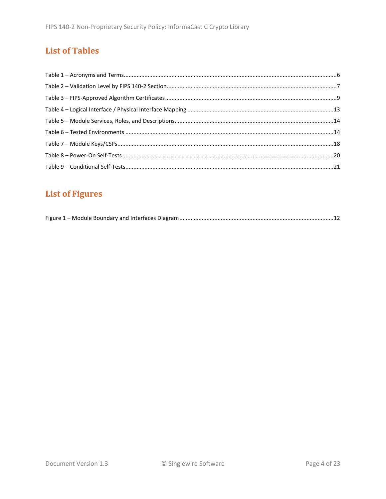# **List of Tables**

# **List of Figures**

|--|--|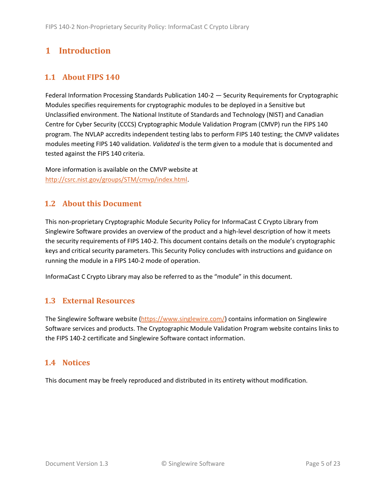# <span id="page-4-0"></span>**1 Introduction**

# <span id="page-4-1"></span>**1.1 About FIPS 140**

Federal Information Processing Standards Publication 140-2 — Security Requirements for Cryptographic Modules specifies requirements for cryptographic modules to be deployed in a Sensitive but Unclassified environment. The National Institute of Standards and Technology (NIST) and Canadian Centre for Cyber Security (CCCS) Cryptographic Module Validation Program (CMVP) run the FIPS 140 program. The NVLAP accredits independent testing labs to perform FIPS 140 testing; the CMVP validates modules meeting FIPS 140 validation. *Validated* is the term given to a module that is documented and tested against the FIPS 140 criteria.

More information is available on the CMVP website at [http://csrc.nist.gov/groups/STM/cmvp/index.html.](http://csrc.nist.gov/groups/STM/cmvp/index.html)

# <span id="page-4-2"></span>**1.2 About this Document**

This non-proprietary Cryptographic Module Security Policy for InformaCast C Crypto Library from Singlewire Software provides an overview of the product and a high-level description of how it meets the security requirements of FIPS 140-2. This document contains details on the module's cryptographic keys and critical security parameters. This Security Policy concludes with instructions and guidance on running the module in a FIPS 140-2 mode of operation.

InformaCast C Crypto Library may also be referred to as the "module" in this document.

# <span id="page-4-3"></span>**1.3 External Resources**

The Singlewire Software website [\(https://www.singlewire.com/\)](https://www.singlewire.com/) contains information on Singlewire Software services and products. The Cryptographic Module Validation Program website contains links to the FIPS 140-2 certificate and Singlewire Software contact information.

# <span id="page-4-4"></span>**1.4 Notices**

This document may be freely reproduced and distributed in its entirety without modification.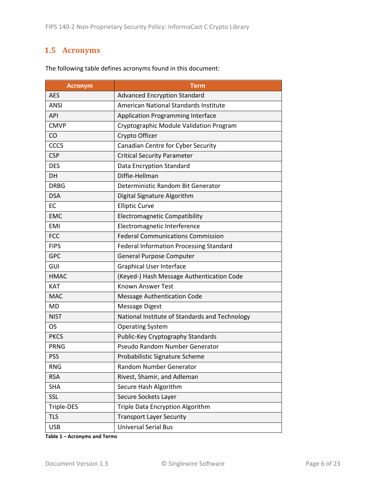# <span id="page-5-0"></span>**1.5 Acronyms**

| <b>Acronym</b> | <b>Term</b>                                    |
|----------------|------------------------------------------------|
| <b>AES</b>     | <b>Advanced Encryption Standard</b>            |
| <b>ANSI</b>    | American National Standards Institute          |
| <b>API</b>     | <b>Application Programming Interface</b>       |
| <b>CMVP</b>    | Cryptographic Module Validation Program        |
| CO             | Crypto Officer                                 |
| <b>CCCS</b>    | Canadian Centre for Cyber Security             |
| <b>CSP</b>     | <b>Critical Security Parameter</b>             |
| <b>DES</b>     | Data Encryption Standard                       |
| DH             | Diffie-Hellman                                 |
| <b>DRBG</b>    | Deterministic Random Bit Generator             |
| <b>DSA</b>     | Digital Signature Algorithm                    |
| <b>EC</b>      | <b>Elliptic Curve</b>                          |
| <b>EMC</b>     | <b>Electromagnetic Compatibility</b>           |
| <b>EMI</b>     | Electromagnetic Interference                   |
| <b>FCC</b>     | <b>Federal Communications Commission</b>       |
| <b>FIPS</b>    | Federal Information Processing Standard        |
| <b>GPC</b>     | <b>General Purpose Computer</b>                |
| GUI            | <b>Graphical User Interface</b>                |
| <b>HMAC</b>    | (Keyed-) Hash Message Authentication Code      |
| <b>KAT</b>     | <b>Known Answer Test</b>                       |
| <b>MAC</b>     | <b>Message Authentication Code</b>             |
| <b>MD</b>      | <b>Message Digest</b>                          |
| <b>NIST</b>    | National Institute of Standards and Technology |
| OS             | <b>Operating System</b>                        |
| <b>PKCS</b>    | Public-Key Cryptography Standards              |
| <b>PRNG</b>    | Pseudo Random Number Generator                 |
| <b>PSS</b>     | Probabilistic Signature Scheme                 |
| <b>RNG</b>     | Random Number Generator                        |
| <b>RSA</b>     | Rivest, Shamir, and Adleman                    |
| <b>SHA</b>     | Secure Hash Algorithm                          |
| SSL            | Secure Sockets Layer                           |
| Triple-DES     | Triple Data Encryption Algorithm               |
| <b>TLS</b>     | <b>Transport Layer Security</b>                |
| <b>USB</b>     | <b>Universal Serial Bus</b>                    |

The following table defines acronyms found in this document:

**Table 1 – Acronyms and Terms**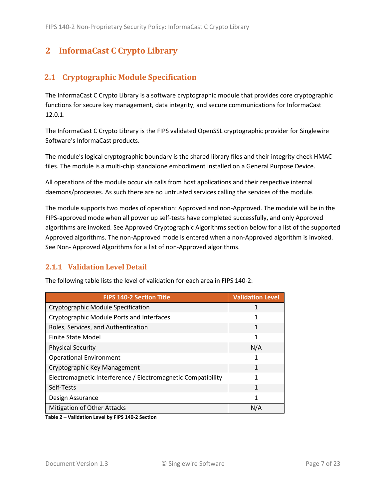# <span id="page-6-0"></span>**2 InformaCast C Crypto Library**

# <span id="page-6-1"></span>**2.1 Cryptographic Module Specification**

The InformaCast C Crypto Library is a software cryptographic module that provides core cryptographic functions for secure key management, data integrity, and secure communications for InformaCast 12.0.1.

The InformaCast C Crypto Library is the FIPS validated OpenSSL cryptographic provider for Singlewire Software's InformaCast products.

The module's logical cryptographic boundary is the shared library files and their integrity check HMAC files. The module is a multi-chip standalone embodiment installed on a General Purpose Device.

All operations of the module occur via calls from host applications and their respective internal daemons/processes. As such there are no untrusted services calling the services of the module.

The module supports two modes of operation: Approved and non-Approved. The module will be in the FIPS-approved mode when all power up self-tests have completed successfully, and only Approved algorithms are invoked. See Approved Cryptographic Algorithms section below for a list of the supported Approved algorithms. The non-Approved mode is entered when a non-Approved algorithm is invoked. See Non- Approved Algorithms for a list of non-Approved algorithms.

# <span id="page-6-2"></span>**2.1.1 Validation Level Detail**

| <b>FIPS 140-2 Section Title</b>                              | <b>Validation Level</b> |
|--------------------------------------------------------------|-------------------------|
| Cryptographic Module Specification                           |                         |
| Cryptographic Module Ports and Interfaces                    | 1                       |
| Roles, Services, and Authentication                          | 1                       |
| <b>Finite State Model</b>                                    | 1                       |
| <b>Physical Security</b>                                     | N/A                     |
| <b>Operational Environment</b>                               |                         |
| Cryptographic Key Management                                 | 1                       |
| Electromagnetic Interference / Electromagnetic Compatibility | 1                       |
| Self-Tests                                                   | 1                       |
| Design Assurance                                             | 1                       |
| <b>Mitigation of Other Attacks</b>                           | N/A                     |

The following table lists the level of validation for each area in FIPS 140-2:

**Table 2 – Validation Level by FIPS 140-2 Section**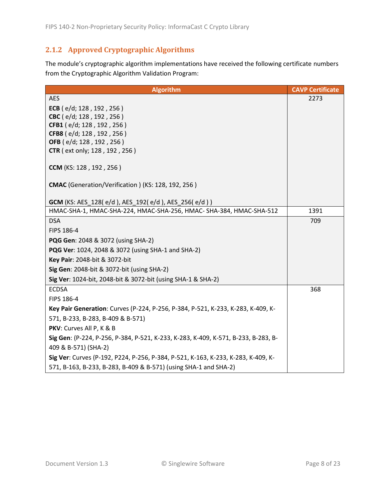# <span id="page-7-0"></span>**2.1.2 Approved Cryptographic Algorithms**

The module's cryptographic algorithm implementations have received the following certificate numbers from the Cryptographic Algorithm Validation Program:

| <b>Algorithm</b>                                                                   | <b>CAVP Certificate</b> |
|------------------------------------------------------------------------------------|-------------------------|
| <b>AES</b>                                                                         | 2273                    |
| ECB ( $e/d$ ; 128, 192, 256)                                                       |                         |
| CBC (e/d; 128, 192, 256)                                                           |                         |
| CFB1 (e/d; 128, 192, 256)                                                          |                         |
| CFB8 (e/d; 128, 192, 256)                                                          |                         |
| OFB (e/d; 128, 192, 256)<br><b>CTR</b> ( ext only; 128, 192, 256)                  |                         |
|                                                                                    |                         |
| CCM (KS: 128, 192, 256)                                                            |                         |
| CMAC (Generation/Verification) (KS: 128, 192, 256)                                 |                         |
| <b>GCM</b> (KS: AES_128(e/d), AES_192(e/d), AES_256(e/d))                          |                         |
| HMAC-SHA-1, HMAC-SHA-224, HMAC-SHA-256, HMAC- SHA-384, HMAC-SHA-512                | 1391                    |
| <b>DSA</b>                                                                         | 709                     |
| FIPS 186-4                                                                         |                         |
| <b>PQG Gen: 2048 &amp; 3072 (using SHA-2)</b>                                      |                         |
| PQG Ver: 1024, 2048 & 3072 (using SHA-1 and SHA-2)                                 |                         |
| Key Pair: 2048-bit & 3072-bit                                                      |                         |
| Sig Gen: 2048-bit & 3072-bit (using SHA-2)                                         |                         |
| Sig Ver: 1024-bit, 2048-bit & 3072-bit (using SHA-1 & SHA-2)                       |                         |
| <b>ECDSA</b>                                                                       | 368                     |
| FIPS 186-4                                                                         |                         |
| Key Pair Generation: Curves (P-224, P-256, P-384, P-521, K-233, K-283, K-409, K-   |                         |
| 571, B-233, B-283, B-409 & B-571)                                                  |                         |
| PKV: Curves All P, K & B                                                           |                         |
| Sig Gen: (P-224, P-256, P-384, P-521, K-233, K-283, K-409, K-571, B-233, B-283, B- |                         |
| 409 & B-571) (SHA-2)                                                               |                         |
| Sig Ver: Curves (P-192, P224, P-256, P-384, P-521, K-163, K-233, K-283, K-409, K-  |                         |
| 571, B-163, B-233, B-283, B-409 & B-571) (using SHA-1 and SHA-2)                   |                         |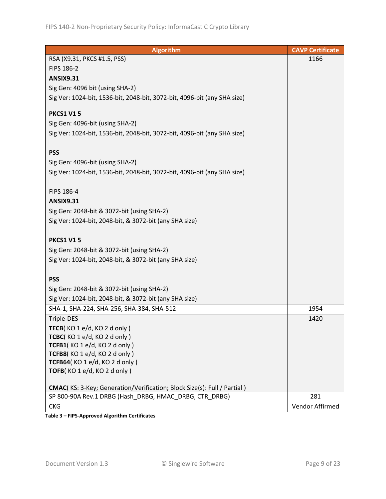| <b>Algorithm</b>                                                                | <b>CAVP Certificate</b> |
|---------------------------------------------------------------------------------|-------------------------|
| RSA (X9.31, PKCS #1.5, PSS)                                                     | 1166                    |
| FIPS 186-2                                                                      |                         |
| <b>ANSIX9.31</b>                                                                |                         |
| Sig Gen: 4096 bit (using SHA-2)                                                 |                         |
| Sig Ver: 1024-bit, 1536-bit, 2048-bit, 3072-bit, 4096-bit (any SHA size)        |                         |
|                                                                                 |                         |
| <b>PKCS1 V15</b>                                                                |                         |
| Sig Gen: 4096-bit (using SHA-2)                                                 |                         |
| Sig Ver: 1024-bit, 1536-bit, 2048-bit, 3072-bit, 4096-bit (any SHA size)        |                         |
|                                                                                 |                         |
| <b>PSS</b>                                                                      |                         |
| Sig Gen: 4096-bit (using SHA-2)                                                 |                         |
| Sig Ver: 1024-bit, 1536-bit, 2048-bit, 3072-bit, 4096-bit (any SHA size)        |                         |
| FIPS 186-4                                                                      |                         |
| <b>ANSIX9.31</b>                                                                |                         |
|                                                                                 |                         |
| Sig Gen: 2048-bit & 3072-bit (using SHA-2)                                      |                         |
| Sig Ver: 1024-bit, 2048-bit, & 3072-bit (any SHA size)                          |                         |
| <b>PKCS1 V15</b>                                                                |                         |
| Sig Gen: 2048-bit & 3072-bit (using SHA-2)                                      |                         |
| Sig Ver: 1024-bit, 2048-bit, & 3072-bit (any SHA size)                          |                         |
|                                                                                 |                         |
| <b>PSS</b>                                                                      |                         |
| Sig Gen: 2048-bit & 3072-bit (using SHA-2)                                      |                         |
| Sig Ver: 1024-bit, 2048-bit, & 3072-bit (any SHA size)                          |                         |
| SHA-1, SHA-224, SHA-256, SHA-384, SHA-512                                       | 1954                    |
| Triple-DES                                                                      | 1420                    |
| TECB(KO 1 e/d, KO 2 d only)                                                     |                         |
| TCBC(KO1e/d, KO2donly)                                                          |                         |
| TCFB1(KO1e/d, KO2donly)                                                         |                         |
| TCFB8(KO 1 e/d, KO 2 d only)                                                    |                         |
| TCFB64(KO 1 e/d, KO 2 d only)                                                   |                         |
| TOFB(KO 1 e/d, KO 2 d only)                                                     |                         |
| <b>CMAC</b> (KS: 3-Key; Generation/Verification; Block Size(s): Full / Partial) |                         |
| SP 800-90A Rev.1 DRBG (Hash DRBG, HMAC DRBG, CTR DRBG)                          | 281                     |
| <b>CKG</b>                                                                      | Vendor Affirmed         |

**Table 3 – FIPS-Approved Algorithm Certificates**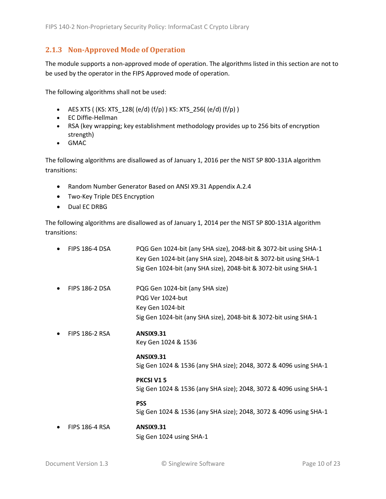#### <span id="page-9-0"></span>**2.1.3 Non-Approved Mode of Operation**

The module supports a non-approved mode of operation. The algorithms listed in this section are not to be used by the operator in the FIPS Approved mode of operation.

The following algorithms shall not be used:

- AES XTS (  $(KS: XTS_128$  (e/d)  $(f/p)$  ) KS: XTS\_256(  $(e/d)$   $(f/p)$  )
- EC Diffie-Hellman
- RSA (key wrapping; key establishment methodology provides up to 256 bits of encryption strength)
- GMAC

The following algorithms are disallowed as of January 1, 2016 per the NIST SP 800-131A algorithm transitions:

- Random Number Generator Based on ANSI X9.31 Appendix A.2.4
- Two-Key Triple DES Encryption
- Dual EC DRBG

The following algorithms are disallowed as of January 1, 2014 per the NIST SP 800-131A algorithm transitions:

• FIPS 186-4 DSA PQG Gen 1024-bit (any SHA size), 2048-bit & 3072-bit using SHA-1 Key Gen 1024-bit (any SHA size), 2048-bit & 3072-bit using SHA-1 Sig Gen 1024-bit (any SHA size), 2048-bit & 3072-bit using SHA-1 • FIPS 186-2 DSA PQG Gen 1024-bit (any SHA size) PQG Ver 1024-but Key Gen 1024-bit Sig Gen 1024-bit (any SHA size), 2048-bit & 3072-bit using SHA-1 • FIPS 186-2 RSA **ANSIX9.31** Key Gen 1024 & 1536 **ANSIX9.31** Sig Gen 1024 & 1536 (any SHA size); 2048, 3072 & 4096 using SHA-1 **PKCSI V1 5** Sig Gen 1024 & 1536 (any SHA size); 2048, 3072 & 4096 using SHA-1 **PSS** Sig Gen 1024 & 1536 (any SHA size); 2048, 3072 & 4096 using SHA-1 • FIPS 186-4 RSA **ANSIX9.31** Sig Gen 1024 using SHA-1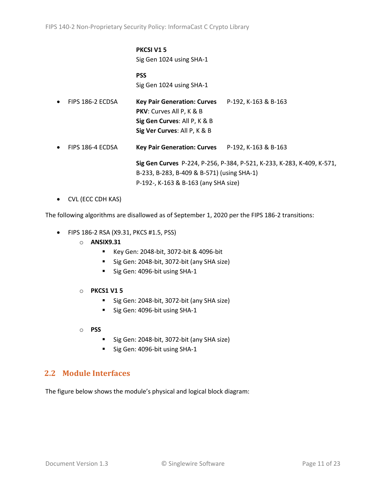#### **PKCSI V1 5** Sig Gen 1024 using SHA-1

**PSS** Sig Gen 1024 using SHA-1

| $\bullet$ | FIPS 186-2 ECDSA | <b>Key Pair Generation: Curves</b>               | P-192, K-163 & B-163                                                   |
|-----------|------------------|--------------------------------------------------|------------------------------------------------------------------------|
|           |                  | <b>PKV:</b> Curves All P, K & B                  |                                                                        |
|           |                  | Sig Gen Curves: All P, K & B                     |                                                                        |
|           |                  | Sig Ver Curves: All P, K & B                     |                                                                        |
| $\bullet$ | FIPS 186-4 ECDSA | Key Pair Generation: Curves P-192, K-163 & B-163 |                                                                        |
|           |                  |                                                  | Sig Gen Curves P-224, P-256, P-384, P-521, K-233, K-283, K-409, K-571, |
|           |                  | B-233, B-283, B-409 & B-571) (using SHA-1)       |                                                                        |

P-192-, K-163 & B-163 (any SHA size)

• CVL (ECC CDH KAS)

The following algorithms are disallowed as of September 1, 2020 per the FIPS 186-2 transitions:

- FIPS 186-2 RSA (X9.31, PKCS #1.5, PSS)
	- o **ANSIX9.31**
		- Key Gen: 2048-bit, 3072-bit & 4096-bit
		- Sig Gen: 2048-bit, 3072-bit (any SHA size)
		- Sig Gen: 4096-bit using SHA-1
	- o **PKCS1 V1 5**
		- Sig Gen: 2048-bit, 3072-bit (any SHA size)
		- Sig Gen: 4096-bit using SHA-1
	- o **PSS**
		- Sig Gen: 2048-bit, 3072-bit (any SHA size)
		- Sig Gen: 4096-bit using SHA-1

# <span id="page-10-0"></span>**2.2 Module Interfaces**

The figure below shows the module's physical and logical block diagram: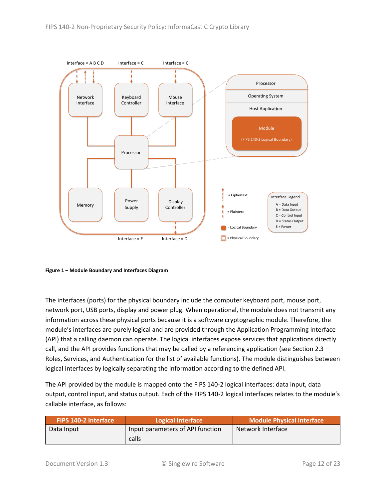

<span id="page-11-0"></span>**Figure 1 – Module Boundary and Interfaces Diagram**

The interfaces (ports) for the physical boundary include the computer keyboard port, mouse port, network port, USB ports, display and power plug. When operational, the module does not transmit any information across these physical ports because it is a software cryptographic module. Therefore, the module's interfaces are purely logical and are provided through the Application Programming Interface (API) that a calling daemon can operate. The logical interfaces expose services that applications directly call, and the API provides functions that may be called by a referencing application (see Sectio[n 2.3](#page-12-0) – [Roles, Services, and Authentication](#page-12-0) for the list of available functions). The module distinguishes between logical interfaces by logically separating the information according to the defined API.

The API provided by the module is mapped onto the FIPS 140-2 logical interfaces: data input, data output, control input, and status output. Each of the FIPS 140-2 logical interfaces relates to the module's callable interface, as follows:

| <b>FIPS 140-2 Interface</b> | Logical Interface                | <b>Module Physical Interface</b> |  |
|-----------------------------|----------------------------------|----------------------------------|--|
| Data Input                  | Input parameters of API function | Network Interface                |  |
|                             | calls                            |                                  |  |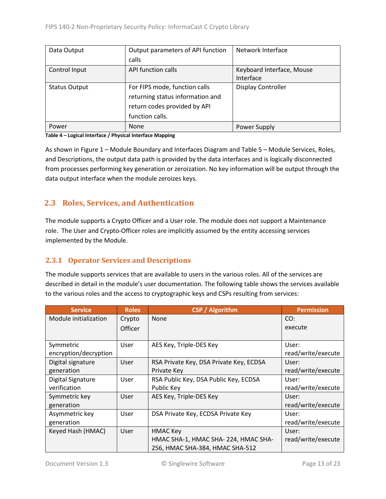| Data Output          | Output parameters of API function | Network Interface         |
|----------------------|-----------------------------------|---------------------------|
|                      | calls                             |                           |
| Control Input        | API function calls                | Keyboard Interface, Mouse |
|                      |                                   | Interface                 |
| <b>Status Output</b> | For FIPS mode, function calls     | <b>Display Controller</b> |
|                      | returning status information and  |                           |
|                      | return codes provided by API      |                           |
|                      | function calls.                   |                           |
| Power                | <b>None</b>                       | Power Supply              |

#### **Table 4 – Logical Interface / Physical Interface Mapping**

As shown in Figure 1 – [Module Boundary and Interfaces Diagram](#page-11-0) and Table 5 – Module [Services, Roles,](#page-13-3) [and Descriptions,](#page-13-3) the output data path is provided by the data interfaces and is logically disconnected from processes performing key generation or zeroization. No key information will be output through the data output interface when the module zeroizes keys.

# <span id="page-12-0"></span>**2.3 Roles, Services, and Authentication**

The module supports a Crypto Officer and a User role. The module does not support a Maintenance role. The User and Crypto-Officer roles are implicitly assumed by the entity accessing services implemented by the Module.

# <span id="page-12-1"></span>**2.3.1 Operator Services and Descriptions**

The module supports services that are available to users in the various roles. All of the services are described in detail in the module's user documentation. The following table shows the services available to the various roles and the access to cryptographic keys and CSPs resulting from services:

| <b>Service</b>        | <b>Roles</b>   | <b>CSP</b> / Algorithm                  | <b>Permission</b>  |
|-----------------------|----------------|-----------------------------------------|--------------------|
| Module initialization | Crypto         | None                                    | CO:                |
|                       | <b>Officer</b> |                                         | execute            |
|                       |                |                                         |                    |
| Symmetric             | User           | AES Key, Triple-DES Key                 | User:              |
| encryption/decryption |                |                                         | read/write/execute |
| Digital signature     | User           | RSA Private Key, DSA Private Key, ECDSA | User:              |
| generation            |                | Private Key                             | read/write/execute |
| Digital Signature     | User           | RSA Public Key, DSA Public Key, ECDSA   | User:              |
| verification          |                | Public Key                              | read/write/execute |
| Symmetric key         | User           | AES Key, Triple-DES Key                 | User:              |
| generation            |                |                                         | read/write/execute |
| Asymmetric key        | User           | DSA Private Key, ECDSA Private Key      | User:              |
| generation            |                |                                         | read/write/execute |
| Keyed Hash (HMAC)     | User           | <b>HMAC Key</b>                         | User:              |
|                       |                | HMAC SHA-1, HMAC SHA-224, HMAC SHA-     | read/write/execute |
|                       |                | 256, HMAC SHA-384, HMAC SHA-512         |                    |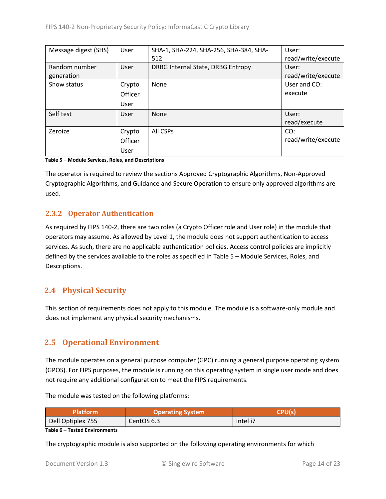| Message digest (SHS) | User    | SHA-1, SHA-224, SHA-256, SHA-384, SHA- | User:              |
|----------------------|---------|----------------------------------------|--------------------|
|                      |         | 512                                    | read/write/execute |
| Random number        | User    | DRBG Internal State, DRBG Entropy      | User:              |
| generation           |         |                                        | read/write/execute |
| Show status          | Crypto  | None                                   | User and CO:       |
|                      | Officer |                                        | execute            |
|                      | User    |                                        |                    |
| Self test            | User    | None                                   | User:              |
|                      |         |                                        | read/execute       |
| Zeroize              | Crypto  | All CSPs                               | CO:                |
|                      | Officer |                                        | read/write/execute |
|                      | User    |                                        |                    |

<span id="page-13-3"></span>**Table 5 – Module Services, Roles, and Descriptions**

The operator is required to review the sections Approved Cryptographic Algorithms, Non-Approved Cryptographic Algorithms, and Guidance and Secure Operation to ensure only approved algorithms are used.

# <span id="page-13-0"></span>**2.3.2 Operator Authentication**

As required by FIPS 140-2, there are two roles (a Crypto Officer role and User role) in the module that operators may assume. As allowed by Level 1, the module does not support authentication to access services. As such, there are no applicable authentication policies. Access control policies are implicitly defined by the services available to the roles as specified in Table 5 – Module [Services, Roles,](#page-13-3) and [Descriptions.](#page-13-3)

# <span id="page-13-1"></span>**2.4 Physical Security**

This section of requirements does not apply to this module. The module is a software-only module and does not implement any physical security mechanisms.

# <span id="page-13-2"></span>**2.5 Operational Environment**

The module operates on a general purpose computer (GPC) running a general purpose operating system (GPOS). For FIPS purposes, the module is running on this operating system in single user mode and does not require any additional configuration to meet the FIPS requirements.

The module was tested on the following platforms:

| Platform          | <b>Operating System</b> | <b>CPU(S)</b> |  |
|-------------------|-------------------------|---------------|--|
| Dell Optiplex 755 | CentOS 6.3              | Intel i7      |  |

**Table 6 – Tested Environments**

The cryptographic module is also supported on the following operating environments for which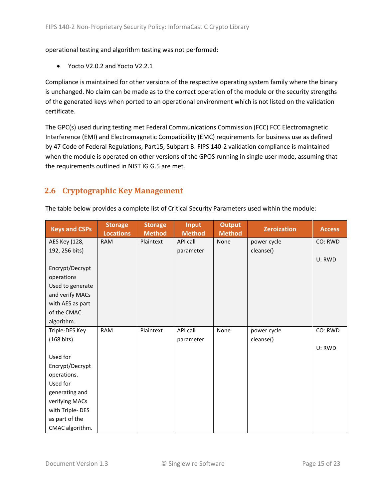operational testing and algorithm testing was not performed:

• Yocto V2.0.2 and Yocto V2.2.1

Compliance is maintained for other versions of the respective operating system family where the binary is unchanged. No claim can be made as to the correct operation of the module or the security strengths of the generated keys when ported to an operational environment which is not listed on the validation certificate.

The GPC(s) used during testing met Federal Communications Commission (FCC) FCC Electromagnetic Interference (EMI) and Electromagnetic Compatibility (EMC) requirements for business use as defined by 47 Code of Federal Regulations, Part15, Subpart B. FIPS 140-2 validation compliance is maintained when the module is operated on other versions of the GPOS running in single user mode, assuming that the requirements outlined in NIST IG G.5 are met.

# <span id="page-14-0"></span>**2.6 Cryptographic Key Management**

| <b>Keys and CSPs</b> | <b>Storage</b><br><b>Locations</b> | <b>Storage</b><br><b>Method</b> | <b>Input</b><br><b>Method</b> | <b>Output</b><br><b>Method</b> | <b>Zeroization</b> | <b>Access</b> |
|----------------------|------------------------------------|---------------------------------|-------------------------------|--------------------------------|--------------------|---------------|
| AES Key (128,        | <b>RAM</b>                         | Plaintext                       | <b>API call</b>               | None                           | power cycle        | CO: RWD       |
| 192, 256 bits)       |                                    |                                 | parameter                     |                                | cleanse()          |               |
|                      |                                    |                                 |                               |                                |                    | U: RWD        |
| Encrypt/Decrypt      |                                    |                                 |                               |                                |                    |               |
| operations           |                                    |                                 |                               |                                |                    |               |
| Used to generate     |                                    |                                 |                               |                                |                    |               |
| and verify MACs      |                                    |                                 |                               |                                |                    |               |
| with AES as part     |                                    |                                 |                               |                                |                    |               |
| of the CMAC          |                                    |                                 |                               |                                |                    |               |
| algorithm.           |                                    |                                 |                               |                                |                    |               |
| Triple-DES Key       | <b>RAM</b>                         | Plaintext                       | API call                      | None                           | power cycle        | CO: RWD       |
| $(168 \text{ bits})$ |                                    |                                 | parameter                     |                                | cleanse()          |               |
|                      |                                    |                                 |                               |                                |                    | U: RWD        |
| Used for             |                                    |                                 |                               |                                |                    |               |
| Encrypt/Decrypt      |                                    |                                 |                               |                                |                    |               |
| operations.          |                                    |                                 |                               |                                |                    |               |
| Used for             |                                    |                                 |                               |                                |                    |               |
| generating and       |                                    |                                 |                               |                                |                    |               |
| verifying MACs       |                                    |                                 |                               |                                |                    |               |
| with Triple-DES      |                                    |                                 |                               |                                |                    |               |
| as part of the       |                                    |                                 |                               |                                |                    |               |
| CMAC algorithm.      |                                    |                                 |                               |                                |                    |               |

The table below provides a complete list of Critical Security Parameters used within the module: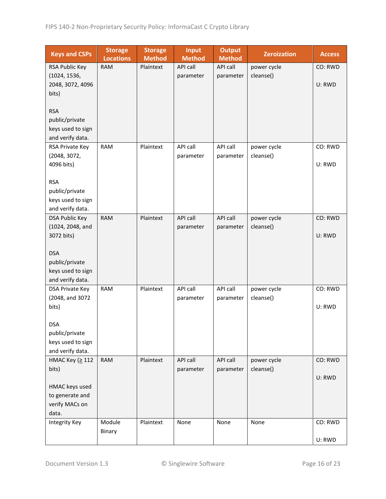| <b>Keys and CSPs</b>                  | <b>Storage</b><br><b>Locations</b> | <b>Storage</b><br><b>Method</b> | <b>Input</b><br><b>Method</b> | <b>Output</b><br><b>Method</b> | <b>Zeroization</b> | <b>Access</b> |
|---------------------------------------|------------------------------------|---------------------------------|-------------------------------|--------------------------------|--------------------|---------------|
| RSA Public Key                        | <b>RAM</b>                         | Plaintext                       | <b>API call</b>               | API call                       | power cycle        | CO: RWD       |
| (1024, 1536,                          |                                    |                                 | parameter                     | parameter                      | cleanse()          |               |
| 2048, 3072, 4096                      |                                    |                                 |                               |                                |                    | U: RWD        |
| bits)                                 |                                    |                                 |                               |                                |                    |               |
|                                       |                                    |                                 |                               |                                |                    |               |
| <b>RSA</b>                            |                                    |                                 |                               |                                |                    |               |
| public/private                        |                                    |                                 |                               |                                |                    |               |
| keys used to sign                     |                                    |                                 |                               |                                |                    |               |
| and verify data.                      |                                    |                                 |                               |                                |                    |               |
| RSA Private Key                       | <b>RAM</b>                         | Plaintext                       | API call                      | API call                       | power cycle        | CO: RWD       |
| (2048, 3072,<br>4096 bits)            |                                    |                                 | parameter                     | parameter                      | cleanse()          | U: RWD        |
|                                       |                                    |                                 |                               |                                |                    |               |
| <b>RSA</b>                            |                                    |                                 |                               |                                |                    |               |
| public/private                        |                                    |                                 |                               |                                |                    |               |
| keys used to sign                     |                                    |                                 |                               |                                |                    |               |
| and verify data.                      |                                    |                                 |                               |                                |                    |               |
| <b>DSA Public Key</b>                 | <b>RAM</b>                         | Plaintext                       | API call                      | API call                       | power cycle        | CO: RWD       |
| (1024, 2048, and                      |                                    |                                 | parameter                     | parameter                      | cleanse()          |               |
| 3072 bits)                            |                                    |                                 |                               |                                |                    | U: RWD        |
|                                       |                                    |                                 |                               |                                |                    |               |
| <b>DSA</b>                            |                                    |                                 |                               |                                |                    |               |
| public/private                        |                                    |                                 |                               |                                |                    |               |
| keys used to sign<br>and verify data. |                                    |                                 |                               |                                |                    |               |
| DSA Private Key                       | <b>RAM</b>                         | Plaintext                       | API call                      | API call                       | power cycle        | CO: RWD       |
| (2048, and 3072                       |                                    |                                 | parameter                     | parameter                      | cleanse()          |               |
| bits)                                 |                                    |                                 |                               |                                |                    | U: RWD        |
|                                       |                                    |                                 |                               |                                |                    |               |
| <b>DSA</b>                            |                                    |                                 |                               |                                |                    |               |
| public/private                        |                                    |                                 |                               |                                |                    |               |
| keys used to sign                     |                                    |                                 |                               |                                |                    |               |
| and verify data.                      |                                    |                                 |                               |                                |                    |               |
| НМАС Кеу (≥ 112                       | <b>RAM</b>                         | Plaintext                       | <b>API call</b>               | API call                       | power cycle        | CO: RWD       |
| bits)                                 |                                    |                                 | parameter                     | parameter                      | cleanse()          |               |
|                                       |                                    |                                 |                               |                                |                    | U: RWD        |
| HMAC keys used                        |                                    |                                 |                               |                                |                    |               |
| to generate and<br>verify MACs on     |                                    |                                 |                               |                                |                    |               |
| data.                                 |                                    |                                 |                               |                                |                    |               |
| <b>Integrity Key</b>                  | Module                             | Plaintext                       | None                          | None                           | None               | CO: RWD       |
|                                       | Binary                             |                                 |                               |                                |                    |               |
|                                       |                                    |                                 |                               |                                |                    | U: RWD        |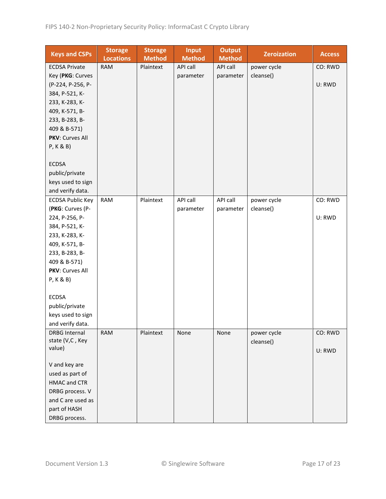| <b>Keys and CSPs</b>    | <b>Storage</b><br><b>Locations</b> | <b>Storage</b><br><b>Method</b> | <b>Input</b><br><b>Method</b> | <b>Output</b><br><b>Method</b> | <b>Zeroization</b> | <b>Access</b> |
|-------------------------|------------------------------------|---------------------------------|-------------------------------|--------------------------------|--------------------|---------------|
| <b>ECDSA Private</b>    | <b>RAM</b>                         | Plaintext                       | API call                      | API call                       | power cycle        | CO: RWD       |
| Key (PKG: Curves        |                                    |                                 | parameter                     | parameter                      | cleanse()          |               |
| (P-224, P-256, P-       |                                    |                                 |                               |                                |                    | U: RWD        |
| 384, P-521, K-          |                                    |                                 |                               |                                |                    |               |
| 233, K-283, K-          |                                    |                                 |                               |                                |                    |               |
| 409, K-571, B-          |                                    |                                 |                               |                                |                    |               |
| 233, B-283, B-          |                                    |                                 |                               |                                |                    |               |
| 409 & B-571)            |                                    |                                 |                               |                                |                    |               |
| PKV: Curves All         |                                    |                                 |                               |                                |                    |               |
| P, K & B)               |                                    |                                 |                               |                                |                    |               |
|                         |                                    |                                 |                               |                                |                    |               |
| <b>ECDSA</b>            |                                    |                                 |                               |                                |                    |               |
| public/private          |                                    |                                 |                               |                                |                    |               |
| keys used to sign       |                                    |                                 |                               |                                |                    |               |
| and verify data.        |                                    |                                 |                               |                                |                    |               |
| <b>ECDSA Public Key</b> | <b>RAM</b>                         | Plaintext                       | API call                      | API call                       | power cycle        | CO: RWD       |
| (PKG: Curves (P-        |                                    |                                 | parameter                     | parameter                      | cleanse()          |               |
| 224, P-256, P-          |                                    |                                 |                               |                                |                    | U: RWD        |
| 384, P-521, K-          |                                    |                                 |                               |                                |                    |               |
| 233, K-283, K-          |                                    |                                 |                               |                                |                    |               |
| 409, K-571, B-          |                                    |                                 |                               |                                |                    |               |
| 233, B-283, B-          |                                    |                                 |                               |                                |                    |               |
| 409 & B-571)            |                                    |                                 |                               |                                |                    |               |
| PKV: Curves All         |                                    |                                 |                               |                                |                    |               |
| P, K & B)               |                                    |                                 |                               |                                |                    |               |
|                         |                                    |                                 |                               |                                |                    |               |
| <b>ECDSA</b>            |                                    |                                 |                               |                                |                    |               |
| public/private          |                                    |                                 |                               |                                |                    |               |
| keys used to sign       |                                    |                                 |                               |                                |                    |               |
| and verify data.        |                                    |                                 |                               |                                |                    |               |
| <b>DRBG Internal</b>    | <b>RAM</b>                         | Plaintext                       | None                          | None                           | power cycle        | CO: RWD       |
| state (V,C, Key         |                                    |                                 |                               |                                | cleanse()          |               |
| value)                  |                                    |                                 |                               |                                |                    | U: RWD        |
|                         |                                    |                                 |                               |                                |                    |               |
| V and key are           |                                    |                                 |                               |                                |                    |               |
| used as part of         |                                    |                                 |                               |                                |                    |               |
| <b>HMAC and CTR</b>     |                                    |                                 |                               |                                |                    |               |
| DRBG process. V         |                                    |                                 |                               |                                |                    |               |
| and C are used as       |                                    |                                 |                               |                                |                    |               |
| part of HASH            |                                    |                                 |                               |                                |                    |               |
| DRBG process.           |                                    |                                 |                               |                                |                    |               |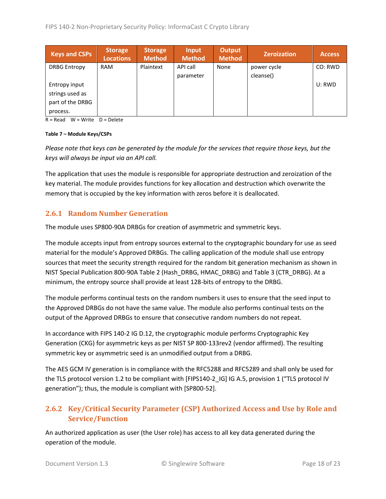| <b>Keys and CSPs</b> | <b>Storage</b><br><b>Locations</b> | <b>Storage</b><br><b>Method</b> | Input<br><b>Method</b> | Output<br><b>Method</b> | <b>Zeroization</b> | <b>Access</b> |
|----------------------|------------------------------------|---------------------------------|------------------------|-------------------------|--------------------|---------------|
| <b>DRBG Entropy</b>  | <b>RAM</b>                         | Plaintext                       | API call               | None                    | power cycle        | CO: RWD       |
|                      |                                    |                                 | parameter              |                         | cleanse()          |               |
| Entropy input        |                                    |                                 |                        |                         |                    | U: RWD        |
| strings used as      |                                    |                                 |                        |                         |                    |               |
| part of the DRBG     |                                    |                                 |                        |                         |                    |               |
| process.             |                                    |                                 |                        |                         |                    |               |

 $R = Read$  W = Write D = Delete

#### **Table 7 – Module Keys/CSPs**

*Please note that keys can be generated by the module for the services that require those keys, but the keys will always be input via an API call.*

The application that uses the module is responsible for appropriate destruction and zeroization of the key material. The module provides functions for key allocation and destruction which overwrite the memory that is occupied by the key information with zeros before it is deallocated.

#### <span id="page-17-0"></span>**2.6.1 Random Number Generation**

The module uses SP800-90A DRBGs for creation of asymmetric and symmetric keys.

The module accepts input from entropy sources external to the cryptographic boundary for use as seed material for the module's Approved DRBGs. The calling application of the module shall use entropy sources that meet the security strength required for the random bit generation mechanism as shown in NIST Special Publication 800-90A Table 2 (Hash\_DRBG, HMAC\_DRBG) and Table 3 (CTR\_DRBG). At a minimum, the entropy source shall provide at least 128-bits of entropy to the DRBG.

The module performs continual tests on the random numbers it uses to ensure that the seed input to the Approved DRBGs do not have the same value. The module also performs continual tests on the output of the Approved DRBGs to ensure that consecutive random numbers do not repeat.

In accordance with FIPS 140-2 IG D.12, the cryptographic module performs Cryptographic Key Generation (CKG) for asymmetric keys as per NIST SP 800-133rev2 (vendor affirmed). The resulting symmetric key or asymmetric seed is an unmodified output from a DRBG.

The AES GCM IV generation is in compliance with the RFC5288 and RFC5289 and shall only be used for the TLS protocol version 1.2 to be compliant with [FIPS140-2\_IG] IG A.5, provision 1 ("TLS protocol IV generation"); thus, the module is compliant with [SP800-52].

# <span id="page-17-1"></span>**2.6.2 Key/Critical Security Parameter (CSP) Authorized Access and Use by Role and Service/Function**

An authorized application as user (the User role) has access to all key data generated during the operation of the module.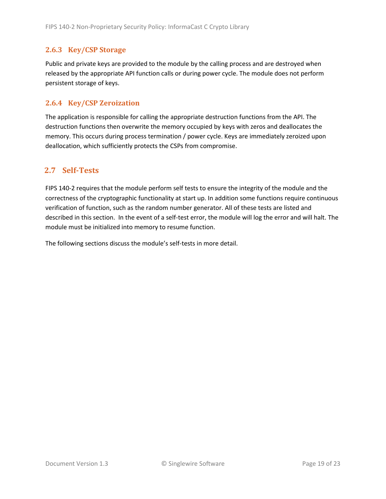# <span id="page-18-0"></span>**2.6.3 Key/CSP Storage**

Public and private keys are provided to the module by the calling process and are destroyed when released by the appropriate API function calls or during power cycle. The module does not perform persistent storage of keys.

#### <span id="page-18-1"></span>**2.6.4 Key/CSP Zeroization**

The application is responsible for calling the appropriate destruction functions from the API. The destruction functions then overwrite the memory occupied by keys with zeros and deallocates the memory. This occurs during process termination / power cycle. Keys are immediately zeroized upon deallocation, which sufficiently protects the CSPs from compromise.

# <span id="page-18-2"></span>**2.7 Self-Tests**

FIPS 140-2 requires that the module perform self tests to ensure the integrity of the module and the correctness of the cryptographic functionality at start up. In addition some functions require continuous verification of function, such as the random number generator. All of these tests are listed and described in this section. In the event of a self-test error, the module will log the error and will halt. The module must be initialized into memory to resume function.

The following sections discuss the module's self-tests in more detail.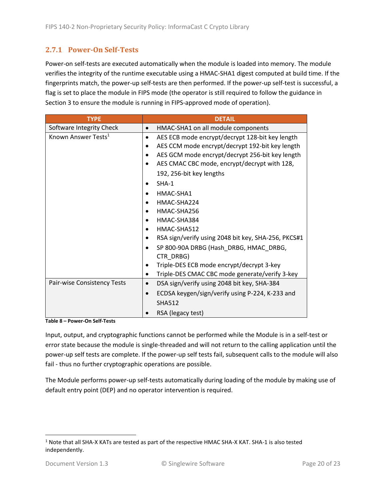# <span id="page-19-0"></span>**2.7.1 Power-On Self-Tests**

Power-on self-tests are executed automatically when the module is loaded into memory. The module verifies the integrity of the runtime executable using a HMAC-SHA1 digest computed at build time. If the fingerprints match, the power-up self-tests are then performed. If the power-up self-test is successful, a flag is set to place the module in FIPS mode (the operator is still required to follow the guidance in Section 3 to ensure the module is running in FIPS-approved mode of operation).

| <b>TYPE</b>                     | <b>DETAIL</b>                                       |
|---------------------------------|-----------------------------------------------------|
| Software Integrity Check        | HMAC-SHA1 on all module components<br>$\bullet$     |
| Known Answer Tests <sup>1</sup> | AES ECB mode encrypt/decrypt 128-bit key length     |
|                                 | AES CCM mode encrypt/decrypt 192-bit key length     |
|                                 | AES GCM mode encrypt/decrypt 256-bit key length     |
|                                 | AES CMAC CBC mode, encrypt/decrypt with 128,        |
|                                 | 192, 256-bit key lengths                            |
|                                 | $SHA-1$                                             |
|                                 | HMAC-SHA1                                           |
|                                 | HMAC-SHA224                                         |
|                                 | HMAC-SHA256                                         |
|                                 | HMAC-SHA384                                         |
|                                 | HMAC-SHA512                                         |
|                                 | RSA sign/verify using 2048 bit key, SHA-256, PKCS#1 |
|                                 | SP 800-90A DRBG (Hash DRBG, HMAC DRBG,              |
|                                 | CTR DRBG)                                           |
|                                 | Triple-DES ECB mode encrypt/decrypt 3-key           |
|                                 | Triple-DES CMAC CBC mode generate/verify 3-key<br>٠ |
| Pair-wise Consistency Tests     | DSA sign/verify using 2048 bit key, SHA-384         |
|                                 | ECDSA keygen/sign/verify using P-224, K-233 and     |
|                                 | <b>SHA512</b>                                       |
|                                 | RSA (legacy test)                                   |

**Table 8 – Power-On Self-Tests**

Input, output, and cryptographic functions cannot be performed while the Module is in a self-test or error state because the module is single-threaded and will not return to the calling application until the power-up self tests are complete. If the power-up self tests fail, subsequent calls to the module will also fail - thus no further cryptographic operations are possible.

The Module performs power-up self-tests automatically during loading of the module by making use of default entry point (DEP) and no operator intervention is required.

<sup>1</sup> Note that all SHA-X KATs are tested as part of the respective HMAC SHA-X KAT. SHA-1 is also tested independently.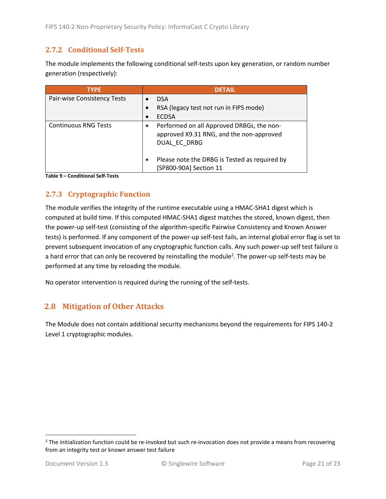# <span id="page-20-0"></span>**2.7.2 Conditional Self-Tests**

The module implements the following conditional self-tests upon key generation, or random number generation (respectively):

| <b>TYPE</b>                 | <b>DETAIL</b>                                                                                         |
|-----------------------------|-------------------------------------------------------------------------------------------------------|
| Pair-wise Consistency Tests | <b>DSA</b>                                                                                            |
|                             | RSA (legacy test not run in FIPS mode)                                                                |
|                             | <b>ECDSA</b>                                                                                          |
| <b>Continuous RNG Tests</b> | Performed on all Approved DRBGs, the non-<br>approved X9.31 RNG, and the non-approved<br>DUAL EC DRBG |
|                             | Please note the DRBG is Tested as required by<br>[SP800-90A] Section 11                               |

**Table 9 – Conditional Self-Tests**

# <span id="page-20-1"></span>**2.7.3 Cryptographic Function**

The module verifies the integrity of the runtime executable using a HMAC-SHA1 digest which is computed at build time. If this computed HMAC-SHA1 digest matches the stored, known digest, then the power-up self-test (consisting of the algorithm-specific Pairwise Consistency and Known Answer tests) is performed. If any component of the power-up self-test fails, an internal global error flag is set to prevent subsequent invocation of any cryptographic function calls. Any such power-up self test failure is a hard error that can only be recovered by reinstalling the module<sup>2</sup>. The power-up self-tests may be performed at any time by reloading the module.

No operator intervention is required during the running of the self-tests.

# <span id="page-20-2"></span>**2.8 Mitigation of Other Attacks**

The Module does not contain additional security mechanisms beyond the requirements for FIPS 140-2 Level 1 cryptographic modules.

 $2$  The initialization function could be re-invoked but such re-invocation does not provide a means from recovering from an integrity test or known answer test failure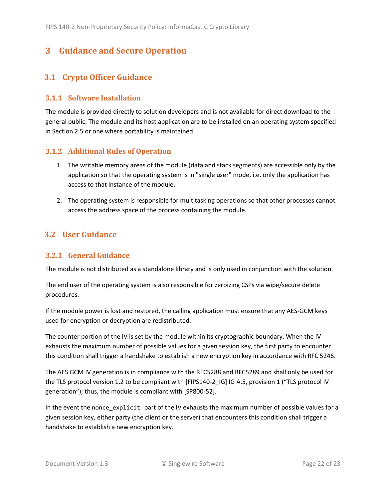# <span id="page-21-0"></span>**3 Guidance and Secure Operation**

# <span id="page-21-1"></span>**3.1 Crypto Officer Guidance**

#### <span id="page-21-2"></span>**3.1.1 Software Installation**

The module is provided directly to solution developers and is not available for direct download to the general public. The module and its host application are to be installed on an operating system specified in Section [2.5](#page-13-2) or one where portability is maintained.

#### <span id="page-21-3"></span>**3.1.2 Additional Rules of Operation**

- 1. The writable memory areas of the module (data and stack segments) are accessible only by the application so that the operating system is in "single user" mode, i.e. only the application has access to that instance of the module.
- 2. The operating system is responsible for multitasking operations so that other processes cannot access the address space of the process containing the module.

# <span id="page-21-4"></span>**3.2 User Guidance**

#### <span id="page-21-5"></span>**3.2.1 General Guidance**

The module is not distributed as a standalone library and is only used in conjunction with the solution.

The end user of the operating system is also responsible for zeroizing CSPs via wipe/secure delete procedures.

If the module power is lost and restored, the calling application must ensure that any AES-GCM keys used for encryption or decryption are redistributed.

The counter portion of the IV is set by the module within its cryptographic boundary. When the IV exhausts the maximum number of possible values for a given session key, the first party to encounter this condition shall trigger a handshake to establish a new encryption key in accordance with RFC 5246.

The AES GCM IV generation is in compliance with the RFC5288 and RFC5289 and shall only be used for the TLS protocol version 1.2 to be compliant with [FIPS140-2 IG] IG A.5, provision 1 ("TLS protocol IV generation"); thus, the module is compliant with [SP800-52].

In the event the nonce\_explicit part of the IV exhausts the maximum number of possible values for a given session key, either party (the client or the server) that encounters this condition shall trigger a handshake to establish a new encryption key.